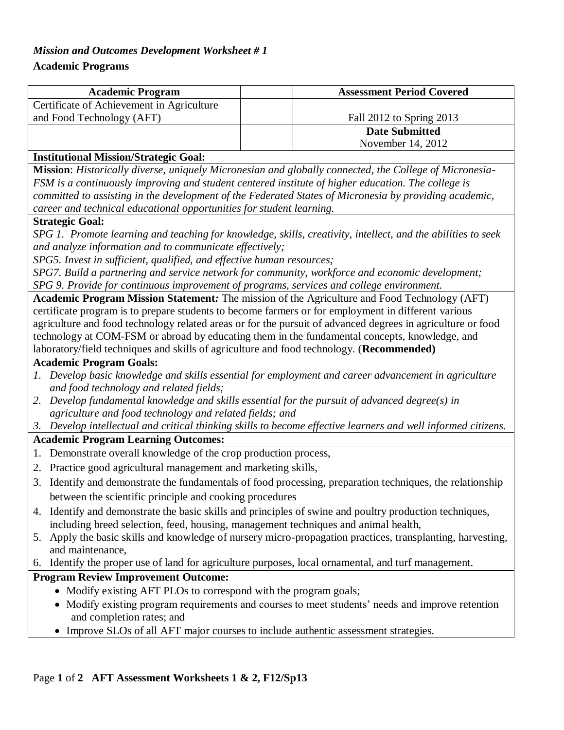# *Mission and Outcomes Development Worksheet # 1*

# **Academic Programs**

| <b>Academic Program</b>                   | <b>Assessment Period Covered</b> |  |  |  |
|-------------------------------------------|----------------------------------|--|--|--|
| Certificate of Achievement in Agriculture |                                  |  |  |  |
| and Food Technology (AFT)                 | Fall 2012 to Spring 2013         |  |  |  |
|                                           | <b>Date Submitted</b>            |  |  |  |
|                                           | November 14, 2012                |  |  |  |
| $\mathbf{1}$                              |                                  |  |  |  |

#### **Institutional Mission/Strategic Goal:**

**Mission**: *Historically diverse, uniquely Micronesian and globally connected, the College of Micronesia-FSM is a continuously improving and student centered institute of higher education. The college is committed to assisting in the development of the Federated States of Micronesia by providing academic, career and technical educational opportunities for student learning.*

#### **Strategic Goal:**

*SPG 1. Promote learning and teaching for knowledge, skills, creativity, intellect, and the abilities to seek and analyze information and to communicate effectively;*

*SPG5. Invest in sufficient, qualified, and effective human resources;* 

*SPG7. Build a partnering and service network for community, workforce and economic development; SPG 9. Provide for continuous improvement of programs, services and college environment.*

**Academic Program Mission Statement***:* The mission of the Agriculture and Food Technology (AFT) certificate program is to prepare students to become farmers or for employment in different various agriculture and food technology related areas or for the pursuit of advanced degrees in agriculture or food technology at COM-FSM or abroad by educating them in the fundamental concepts, knowledge, and laboratory/field techniques and skills of agriculture and food technology. (**Recommended)**

#### **Academic Program Goals:**

- *1. Develop basic knowledge and skills essential for employment and career advancement in agriculture and food technology and related fields;*
- *2. Develop fundamental knowledge and skills essential for the pursuit of advanced degree(s) in agriculture and food technology and related fields; and*

## *3. Develop intellectual and critical thinking skills to become effective learners and well informed citizens.*

## **Academic Program Learning Outcomes:**

- 1. Demonstrate overall knowledge of the crop production process,
- 2. Practice good agricultural management and marketing skills,
- 3. Identify and demonstrate the fundamentals of food processing, preparation techniques, the relationship between the scientific principle and cooking procedures
- 4. Identify and demonstrate the basic skills and principles of swine and poultry production techniques, including breed selection, feed, housing, management techniques and animal health,
- 5. Apply the basic skills and knowledge of nursery micro-propagation practices, transplanting, harvesting, and maintenance,
- 6. Identify the proper use of land for agriculture purposes, local ornamental, and turf management.

# **Program Review Improvement Outcome:**

- Modify existing AFT PLOs to correspond with the program goals;
- Modify existing program requirements and courses to meet students' needs and improve retention and completion rates; and
- Improve SLOs of all AFT major courses to include authentic assessment strategies.